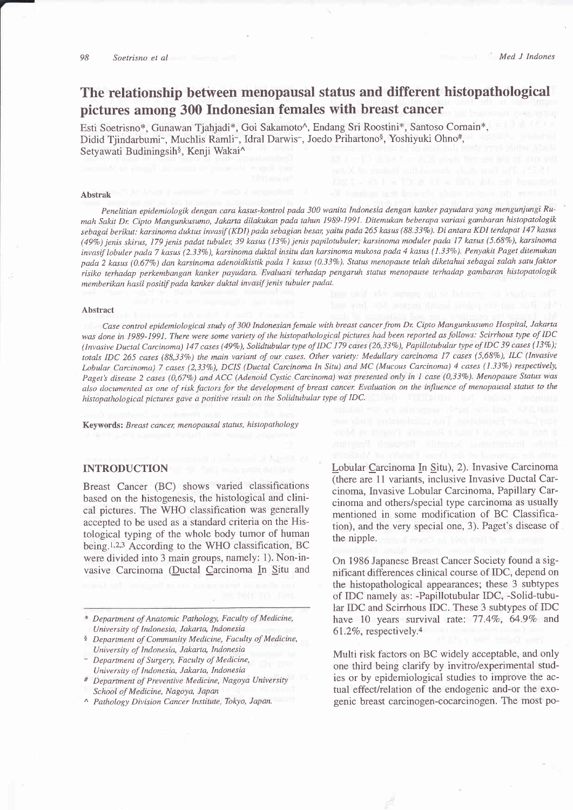# The relationship between menopausal status and different histopathological pictures among 300 Indonesian females with breast cancer

Esti Soetrisno\*, Gunawan Tiahjadi\*, Goi Sakamoto^, Endang Sri Roostini\*, Santoso Cornain\*, Didid Tjindarbumi~, Muchlis Ramli~, Idral Darwis~, Joedo Prihartono<sup>§</sup>, Yoshiyuki Ohno#, Setyawati Budiningsih\$, Kenji Wakai^

#### Abstrak

Penelitian epidemiologik dengan cara kasus-kontrol pada 300 wanita Indonesia dengan kanker payudara yang mengunjungi Rumah Sakit Dr. Cipto Mangunkusumo, Jakarta dilakukan pada tahun 1989-1991. Ditemukan beberapa variasi gambaran histopatologik sebagai berikut: karsinoma duktus invasif (KDI) pada sebagian besar, yaitu pada 265 kasus (88.33%). Di antara KDI terdapat 147 kasus (49%) jenis skirus, 179 jenis padat tubuler, 39 kasus (13%) jenis papilotubuler; karsinoma moduler pada 17 kasus (5.68%), karsinoma invasif lobuler pada 7 kasus (2.33%), karsinoma duktal insitu dan karsinoma mukosa pada 4 kasus (1.33%). Penyakit Paget ditemukan pada 2 kasus (0.677o) dan karsinoma adenoidkistik pada I kasus (0.3 3Vo). Status menopause telah diketahui sebagai salah satu faktor risiko terhadap perkembangan kanker payudara. Evaluasi terhadap pengaruh status menopause lerhadap gambaran histopatologik memberikan hasil positif pada kanker duktal invasif jenis tubuler padat.

#### Abstract

Case control epidemiological study of 300 Indonesian female with breast cancer from Dr. Cipto Mangunkusumo Hospital, Jakarta was done in 1989-1991. There were some variety of the histopathological pictures had been reported as follows: Scirrhous type of IDC (Invasive Ductal Carcinoma) 147 cases (49%), Solidtubular type of IDC 179 cases (26,33%), Papillotubular type of IDC 39 cases (13%); totals IDC 265 cases (88,33%) the main variant of our cases. Other variety: Medullary carcinoma 17 cases (5,68%), ILC (Invasive Lobular Carcinoma) 7 cases (2,33%), DCIS (Ductal Carcinoma In Situ) and MC (Mucous Carcinoma) 4 cases (1.33%) respectively, Paget's disease 2 cases (0,67%) and ACC (Adenoid Cystic Carcinoma) was presented only in 1 case (0,33%). Menopause Status was also documented as one of risk factors for the development of breast cancer. Evaluation on the influence of menopausal status to the histopathological pictures gave a positive result on the Solidtubular type of IDC.

Keywords: Breast cancer, menopausal status, histopathology

# INTRODUCTION

Breast Cancer (BC) shows varied classifications based on the histogenesis, the histological and clinical pictures. The WHO classification was generally accepted to be used as a standard criteria on the Histological typing of the whole body tumor of human being.<sup>1,2,3</sup> According to the WHO classification, BC were divided into 3 main groups, namely: 1). Non-invasive Carcinoma (Ductal Carcinoma In Situ and

- \* Department of Aratomic Pathology, Faculty of Medicine, University of Indonesia, Jakarta, Indonesia
- <sup>§</sup> Department of Community Medicine, Faculty of Medicine, University of Indonesia, Jakarta, Indonesia
- Department of Surgery, Faculty of Medicine, University of Indonesia, Jakarta, Indonesia
- # Department of Preventive Medicine, Nagoya University School of Medicine, Nagoya, Japan
- ^ Pathology Division Cancer Institute, Tokyo, Japan.

Lobular Carcinoma In Situ), 2). Invasive Carcinoma (there are 11 variants, inclusive Invasive Ductal Carcinoma, Invasive Lobular Carcinoma, Papillary Carcinoma and others/special type carcinoma as usually mentioned in some modification of BC Classification), and the very special one, 3). Paget's disease of the nipple.

On 1986 Japanese Breast Cancer Society found a significant differences clinical course of IDC, depend on the histopathological appearances; these 3 subtypes of IDC namely as: -Papillotubular IDC, -Solid-tubular IDC and Scirrhous IDC. These 3 subtypes of IDC have 10 years survival rate: 77.4%, 64.9% and  $61.2\%$ , respectively.<sup>4</sup>

Multi risk factors on BC widely acceptable, and only one third being clarify by invitro/experimental studies or by epidemiological studies to improve the actual effect/relation of the endogenic and-or the exogenic breast carcinogen-cocarcinogen. The most po-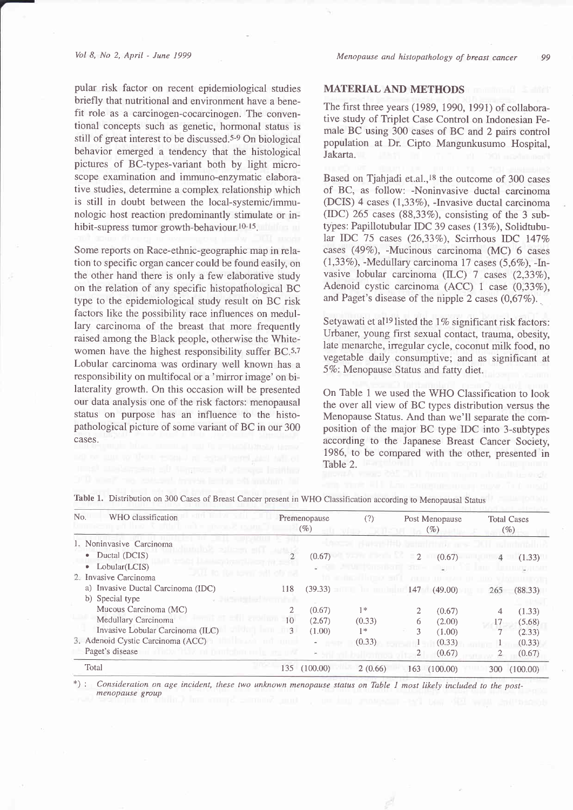#### Vol 8, No 2, April - June 1999

pular risk factor on recent epidemiological studies briefly that nutritional and environment have a benefit role as a carcinogen-cocarcinogen. The conventional concepts such as genetic, hormonal status is still of great interest to be discussed.<sup>5-9</sup> On biological behavior emerged a tendency that the histological pictures of BC-types-variant both by light microscope examination and immuno-enzymatic elaborative studies, determine a complex relationship which is still in doubt between the local-systemic/immunologic host reaction predominantly stimulate or inhibit-supress tumor growth-behaviour.<sup>10-15</sup>.

Some reports on Race-ethnic-geographic map in relation to specific organ cancer could be found easily, on the other hand there is only a few elaborative study on the relation of any specific histopathological BC type to the epidemiological study result on BC risk factors like the possibility race influences on medullary carcinoma of the breast that more frequently raised among the Black people, otherwise the Whitewomen have the highest responsibility suffer 8C.5,7 Lobular carcinoma was ordinary well known has a responsibility on multifocal or a 'mirror image' on bilaterality growth. On this occasion will be presented our data analysis one of the risk factors: menopausal status on purpose has an influence to the histopathological picture of some variant of BC in our 300 cases.

## MATERIAL AND METHODS

The first three years (1989, 1990, 1991) of collaborative study of Triplet Case Control on Indonesian Female BC using 300 cases of BC and 2 pairs control population at Dr. Cipto Mangunkusumo Hospital, Jakarta.

Based on Tjahjadi et.al.,<sup>18</sup> the outcome of 300 cases of BC, as follow: -Noninvasive ductal carcinoma (DCIS) 4 cases  $(1,33\%)$ , -Invasive ductal carcinoma (IDC) 265 cases  $(88,33\%)$ , consisting of the 3 subtypes: Papillotubular IDC 39 cases (13%), Solidtubular IDC 75 cases (26,33%), Scirrhous IDC 147% cases (49%), -Mucinous carcinoma (MC) 6 cases (1,33%), -Medullary carcinoma 17 cases  $(5,6\%)$ , -Invasive lobular carcinoma (ILC) 7 cases  $(2,33\%)$ , Adenoid cystic carcinoma (ACC) 1 case (0,33%), and Paget's disease of the nipple 2 cases  $(0.67\%)$ .

Setyawati et al<sup>19</sup> listed the 1% significant risk factors: Urbaner, young first sexual contact, trauma, obesity, late menarche, irregular cycle, coconut milk food, no vegetable daily consumptive; and as significant at 5%: Menopause Status and fatty diet.

On Table 1 we used the WHO Classification to look the over all view of BC types distribution versus the Menopause Status. And than we'll separate the composition of the major BC type IDC into 3-subtypes according to the Japanese Breast Cancer Society, 1986, to be compared with the other, presented in Table 2.

| No.                      | WHO classification                                                 |     | Premenopause<br>(%) | (?)                                   |               | Post Menopause<br>$( \% )$ |     | <b>Total Cases</b><br>(%) |
|--------------------------|--------------------------------------------------------------------|-----|---------------------|---------------------------------------|---------------|----------------------------|-----|---------------------------|
| 1. Noninvasive Carcinoma |                                                                    |     |                     |                                       |               |                            |     |                           |
|                          | Ductal (DCIS)<br>$\bullet$                                         |     | (0.67)              |                                       | $\mathcal{D}$ | (0.67)                     |     | (1.33)                    |
|                          | Lobular(LCIS)<br>$\bullet$                                         |     |                     |                                       | 51 81 H       | a i                        |     |                           |
|                          | ALL 10 ILA<br>2. Invasive Carcinoma                                |     |                     | <b>Secretary of Lands And Service</b> |               |                            |     |                           |
|                          | a) Invasive Ductal Carcinoma (IDC)                                 | 118 | (39.33)             |                                       | 147           | (49.00)                    | 265 | (88.33)                   |
|                          | b) Special type                                                    |     |                     |                                       |               |                            |     |                           |
|                          | Mucous Carcinoma (MC)                                              |     | (0.67)              | $1*$                                  | 2             | (0.67)                     |     | (1.33)                    |
|                          | Medullary Carcinoma                                                | 10. | (2.67)              | (0.33)                                | 6             | (2.00)                     |     | (5.68)                    |
|                          | Invasive Lobular Carcinoma (ILC)                                   | 3   | (1.00)              | $1*$                                  | 3             | (1.00)                     |     | (2.33)                    |
|                          | 3. Adenoid Cystic Carcinoma (ACC)                                  |     |                     | (0.33)                                |               | (0.33)                     |     | (0.33)                    |
|                          | Paget's disease<br>"That is, in it joint the form one to see the S |     | $\sim$              |                                       | 2             | (0.67)                     |     | (0.67)                    |
|                          | Total                                                              | 135 | (100.00)            | 2(0.66)                               | 163           | (100.00)                   | 300 | (100.00)                  |

Table 1. Distribution on 300 Cases of Breast Cancer present in WHO Classification according to Menopausal Status

Consideration on age incident, these two unknown menopause status on Table 1 most likely included to the postmenopause group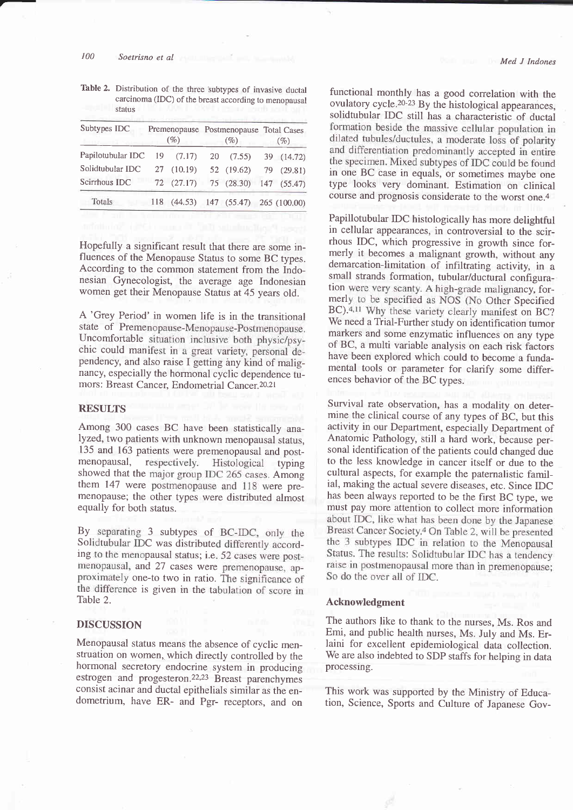#### 100 Soetrisno et al

Table 2. Distribution of the three subtypes of invasive ductal carcinoma (IDC) of the breast according to menopausal status

| Subtypes IDC      |     | (%)        |    | (%)                                    | Premenopause Postmenopause Total Cases<br>(%) |  |
|-------------------|-----|------------|----|----------------------------------------|-----------------------------------------------|--|
| Papilotubular IDC |     | 19(7.17)   | 20 | (7.55)                                 | 39 (14.72)                                    |  |
| Solidtubular IDC  |     | 27 (10.19) |    | 52 (19.62)                             | 79 (29.81)                                    |  |
| Scirrhous IDC     |     | 72(27.17)  |    | 75(28.30)                              | 147 (55.47)                                   |  |
| Totals            | 118 |            |    | $(44.53)$ 147 $(55.47)$ 265 $(100.00)$ |                                               |  |
|                   |     |            |    |                                        |                                               |  |

Hopefully a significant result that there are some influences of the Menopause Status to some BC types. According to the common statement from the Indonesian Gynecologist, the average age Indonesian women get their Menopause Status at 45 years old.

A 'Grey Period' in women life is in the transitional state of Premenopause-Menopause-Postmenopause. Uncomfortable situation inclusive both physic/psychic could manifest in a great variety, personal dependency, and also raise I getting àny kind of malignancy, especially the hormonal cyclic dependence tumors: Breast Cancer, Endometrial Cancer.<sup>20,21</sup>

### RESULTS

Among 300 cases BC have been statistically analyzed, two patients with unknown menopausal status, 135 and 163 patients were premenopausal and postmenopausal, respectively. Histological typing showed that the major group IDC 265 cases. Among them 147 were postmenopause and 118 were premenopause; the other types were distributed almost equally for both status.

By separating 3 subtypes of BC-IDC, only the Solid tubular IDC was distributed differently according to the menopausal status; i.e. 52 cases were postmenopausal, and 27 cases were premenopause, approximately one-to two in ratio. The significance of the difference is given in the tabulation of score in Table 2.

## **DISCUSSION**

Menopausal status means the absence of cyclic menstruation on women, which directly controlled by the hormonal secretory endocrine system in producing estrogen and progesteron.22,23 Breast parenchymes consist acinar and ductal epithelials similar as the endometrium, have ER- and Pgr- receptors, and on

functional monthly has a good correlation with the ovulatory cycle.<sup>20-23</sup> By the histological appearances, solidtubular IDC still has a characteristic of ductal dilated tubules/ductules, a moderate loss of polarity and differentiation predominantly accepted in entire the specimen. Mixed subtypes of IDC could be found<br>in one BC case in equals, or sometimes maybe one type looks very dominant. Estimation on clinical course and prognosis considerate to the worst one.4

Papillotubular IDC histologically has more delightful in cellular appearances, in controversial to the scirrhous IDC, which progressive in growth since formerly it becomes a malignant growth, without any demarcation-limitation of infiltrating activity, in a small strands formation, tubular/ductural configuration were very scanty. A high-grade malignancy, for-<br>merly to be specified as NOS (No Other Specified BC).<sup>4,11</sup> Why these variety clearly manifest on BC? We need a Trial-Further study on identification tumor markers and some enzymatic influences on any type of BC, a multi variable analysis on each risk factors have been explored which could to become a fundamental tools or parameter for clarify some differences behavior of the BC types.

Survival rate observation, has a modality on determine the clinical course of any types of BC, but this activity in our Department, especially Department of Anatomic Pathology, still a hard work, because personal identification of the patients could changed due to the less knowledge in cancer itself or due to the cultural aspects, for example the paternalistic familial, making the actual severe diseases, etc. Since IDC has been always reported to be the first BC type, we must pay more attention to collect more information<br>about IDC, like what has been done by the Japanese Breast Cancer Society.<sup>4</sup> On Table 2, will be presented the 3 subtypes IDC in relation to the Menopausal Status. The results: Solidtubular IDC has a tendency raise in postmenopausal more than in premenopause; So do the over all of IDC.

#### Acknowledgment

The authors like to thank to the nurses, Ms. Ros and Emi, and public health nurses, Ms. July and Ms. Erlaini for excellent epidemiological data collection. We are also indebted to SDP staffs for helping in data processing.

This work was supported by the Ministry of Education, Science, Sports and Culture of Japanese Gov-